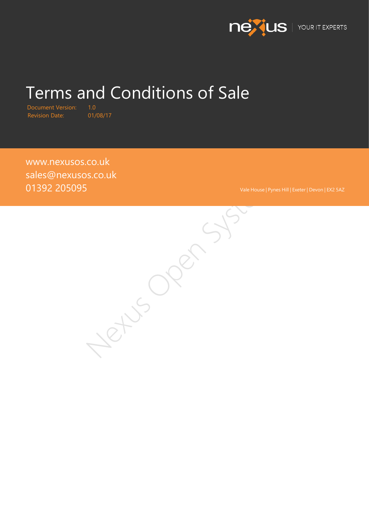

# Terms and Conditions of Sale

Document Version: 1.0<br>Revision Date: 01/08/17 Revision Date:

[www.nexusos.co.uk](http://www.nexusos.co.uk/ucassurance) sales@nexusos.co.uk

01392 205095<br>CONSULTER SYSTEMS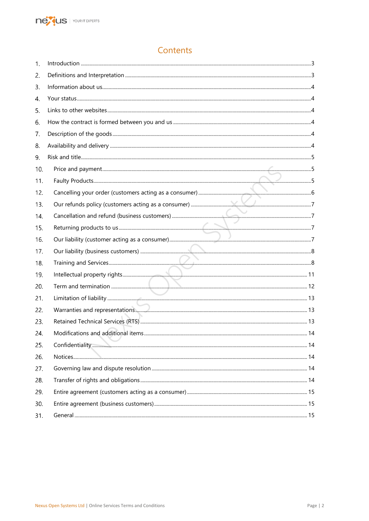

# Contents

| 1.  |  |
|-----|--|
| 2.  |  |
| 3.  |  |
| 4.  |  |
| 5.  |  |
| 6.  |  |
| 7.  |  |
| 8.  |  |
| 9.  |  |
| 10. |  |
| 11. |  |
| 12. |  |
| 13. |  |
| 14. |  |
| 15. |  |
| 16. |  |
| 17. |  |
| 18. |  |
| 19. |  |
| 20. |  |
| 21. |  |
| 22. |  |
| 23. |  |
| 24. |  |
| 25. |  |
| 26. |  |
| 27. |  |
| 28. |  |
| 29. |  |
| 30. |  |
| 31. |  |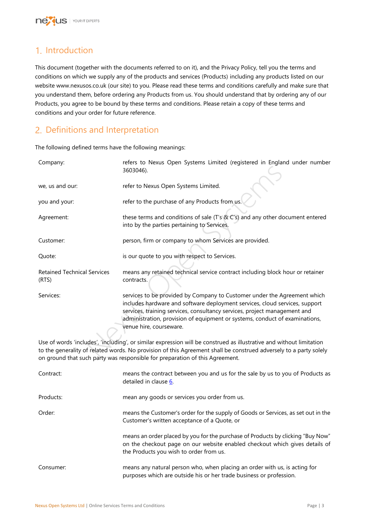

# <span id="page-2-0"></span>1. Introduction

This document (together with the documents referred to on it), and the Privacy Policy, tell you the terms and conditions on which we supply any of the products and services (Products) including any products listed on our website www.nexusos.co.uk (our site) to you. Please read these terms and conditions carefully and make sure that you understand them, before ordering any Products from us. You should understand that by ordering any of our Products, you agree to be bound by these terms and conditions. Please retain a copy of these terms and conditions and your order for future reference.

# <span id="page-2-1"></span>2. Definitions and Interpretation

The following defined terms have the following meanings:

| Company:                                                                                                                                                                                                                                                                                                                 | refers to Nexus Open Systems Limited (registered in England under number<br>3603046).                                                                                                                                                                                                                                                          |  |  |  |  |  |
|--------------------------------------------------------------------------------------------------------------------------------------------------------------------------------------------------------------------------------------------------------------------------------------------------------------------------|------------------------------------------------------------------------------------------------------------------------------------------------------------------------------------------------------------------------------------------------------------------------------------------------------------------------------------------------|--|--|--|--|--|
| we, us and our:                                                                                                                                                                                                                                                                                                          | refer to Nexus Open Systems Limited.                                                                                                                                                                                                                                                                                                           |  |  |  |  |  |
| you and your:                                                                                                                                                                                                                                                                                                            | refer to the purchase of any Products from us.                                                                                                                                                                                                                                                                                                 |  |  |  |  |  |
| Agreement:                                                                                                                                                                                                                                                                                                               | these terms and conditions of sale (T's & C's) and any other document entered<br>into by the parties pertaining to Services.                                                                                                                                                                                                                   |  |  |  |  |  |
| Customer:                                                                                                                                                                                                                                                                                                                | person, firm or company to whom Services are provided.                                                                                                                                                                                                                                                                                         |  |  |  |  |  |
| Quote:                                                                                                                                                                                                                                                                                                                   | is our quote to you with respect to Services.                                                                                                                                                                                                                                                                                                  |  |  |  |  |  |
| <b>Retained Technical Services</b><br>(RTS)                                                                                                                                                                                                                                                                              | means any retained technical service contract including block hour or retainer<br>contracts.                                                                                                                                                                                                                                                   |  |  |  |  |  |
| Services:                                                                                                                                                                                                                                                                                                                | services to be provided by Company to Customer under the Agreement which<br>includes hardware and software deployment services, cloud services, support<br>services, training services, consultancy services, project management and<br>administration, provision of equipment or systems, conduct of examinations,<br>venue hire, courseware. |  |  |  |  |  |
| Use of words 'includes', 'including', or similar expression will be construed as illustrative and without limitation<br>to the generality of related words. No provision of this Agreement shall be construed adversely to a party solely<br>on ground that such party was responsible for preparation of this Agreement |                                                                                                                                                                                                                                                                                                                                                |  |  |  |  |  |

Use of words 'includes', 'including', or similar expression will be construed as illustrative and without limitation to the generality of related words. No provision of this Agreement shall be construed adversely to a party solely on ground that such party was responsible for preparation of this Agreement.

| Contract: | means the contract between you and us for the sale by us to you of Products as<br>detailed in clause 6.                                                                                                   |
|-----------|-----------------------------------------------------------------------------------------------------------------------------------------------------------------------------------------------------------|
| Products: | mean any goods or services you order from us.                                                                                                                                                             |
| Order:    | means the Customer's order for the supply of Goods or Services, as set out in the<br>Customer's written acceptance of a Quote, or                                                                         |
|           | means an order placed by you for the purchase of Products by clicking "Buy Now"<br>on the checkout page on our website enabled checkout which gives details of<br>the Products you wish to order from us. |
| Consumer: | means any natural person who, when placing an order with us, is acting for<br>purposes which are outside his or her trade business or profession.                                                         |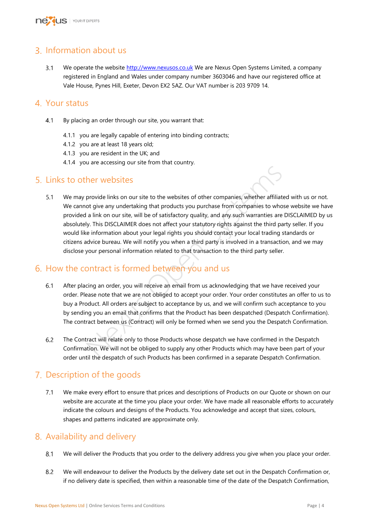

# <span id="page-3-0"></span>3. Information about us

 $3.1$ We operate the website [http://www.nexusos.co.uk](http://www.nexusos.co.uk/) We are Nexus Open Systems Limited, a company registered in England and Wales under company number 3603046 and have our registered office at Vale House, Pynes Hill, Exeter, Devon EX2 5AZ. Our VAT number is 203 9709 14.

### <span id="page-3-1"></span>Your status

- $4.1$ By placing an order through our site, you warrant that:
	- 4.1.1 you are legally capable of entering into binding contracts;
	- 4.1.2 you are at least 18 years old;
	- 4.1.3 you are resident in the UK; and
	- 4.1.4 you are accessing our site from that country.

### <span id="page-3-2"></span>5. Links to other websites

**her websites**<br>provide links on our site to the websites of other companies, whether affiliated of give any undertaking that products you purchase from companies to whose a link on our site, will be of satisfactory quality  $5.1$ We may provide links on our site to the websites of other companies, whether affiliated with us or not. We cannot give any undertaking that products you purchase from companies to whose website we have provided a link on our site, will be of satisfactory quality, and any such warranties are DISCLAIMED by us absolutely. This DISCLAIMER does not affect your statutory rights against the third party seller. If you would like information about your legal rights you should contact your local trading standards or citizens advice bureau. We will notify you when a third party is involved in a transaction, and we may disclose your personal information related to that transaction to the third party seller.

# <span id="page-3-3"></span>6. How the contract is formed between you and us

- $6.1$ After placing an order, you will receive an email from us acknowledging that we have received your order. Please note that we are not obliged to accept your order. Your order constitutes an offer to us to buy a Product. All orders are subject to acceptance by us, and we will confirm such acceptance to you by sending you an email that confirms that the Product has been despatched (Despatch Confirmation). The contract between us (Contract) will only be formed when we send you the Despatch Confirmation.
- $6.2$ The Contract will relate only to those Products whose despatch we have confirmed in the Despatch Confirmation. We will not be obliged to supply any other Products which may have been part of your order until the despatch of such Products has been confirmed in a separate Despatch Confirmation.

# <span id="page-3-4"></span>7. Description of the goods

 $7.1$ We make every effort to ensure that prices and descriptions of Products on our Quote or shown on our website are accurate at the time you place your order. We have made all reasonable efforts to accurately indicate the colours and designs of the Products. You acknowledge and accept that sizes, colours, shapes and patterns indicated are approximate only.

# <span id="page-3-5"></span>Availability and delivery

- $8.1$ We will deliver the Products that you order to the delivery address you give when you place your order.
- 8.2 We will endeavour to deliver the Products by the delivery date set out in the Despatch Confirmation or, if no delivery date is specified, then within a reasonable time of the date of the Despatch Confirmation,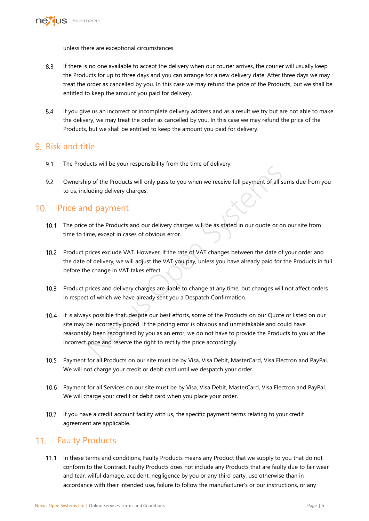

unless there are exceptional circumstances.

- 8.3 If there is no one available to accept the delivery when our courier arrives, the courier will usually keep the Products for up to three days and you can arrange for a new delivery date. After three days we may treat the order as cancelled by you. In this case we may refund the price of the Products, but we shall be entitled to keep the amount you paid for delivery.
- $8.4$ If you give us an incorrect or incomplete delivery address and as a result we try but are not able to make the delivery, we may treat the order as cancelled by you. In this case we may refund the price of the Products, but we shall be entitled to keep the amount you paid for delivery.

### <span id="page-4-0"></span>9 Risk and title

- $91$ The Products will be your responsibility from the time of delivery.
- 9.2 Ownership of the Products will only pass to you when we receive full payment of all sums due from you to us, including delivery charges.

### <span id="page-4-1"></span>10. Price and payment

- 10.1 The price of the Products and our delivery charges will be as stated in our quote or on our site from time to time, except in cases of obvious error.
- 10.2 Product prices exclude VAT. However, if the rate of VAT changes between the date of your order and the date of delivery, we will adjust the VAT you pay, unless you have already paid for the Products in full before the change in VAT takes effect.
- 10.3 Product prices and delivery charges are liable to change at any time, but changes will not affect orders in respect of which we have already sent you a Despatch Confirmation.
- The Products will only pass to you when we receive full payment of all surfunding delivery charges.<br>
In of the Products and our delivery charges will be as stated in our quote or on<br>
Inc. except in cases of obvious error.<br> 10.4 It is always possible that, despite our best efforts, some of the Products on our Quote or listed on our site may be incorrectly priced. If the pricing error is obvious and unmistakable and could have reasonably been recognised by you as an error, we do not have to provide the Products to you at the incorrect price and reserve the right to rectify the price accordingly.
- 10.5 Payment for all Products on our site must be by Visa, Visa Debit, MasterCard, Visa Electron and PayPal. We will not charge your credit or debit card until we despatch your order.
- 10.6 Payment for all Services on our site must be by Visa, Visa Debit, MasterCard, Visa Electron and PayPal. We will charge your credit or debit card when you place your order.
- 10.7 If you have a credit account facility with us, the specific payment terms relating to your credit agreement are applicable.

### <span id="page-4-2"></span>11. Faulty Products

11.1 In these terms and conditions, Faulty Products means any Product that we supply to you that do not conform to the Contract. Faulty Products does not include any Products that are faulty due to fair wear and tear, wilful damage, accident, negligence by you or any third party, use otherwise than in accordance with their intended use, failure to follow the manufacturer's or our instructions, or any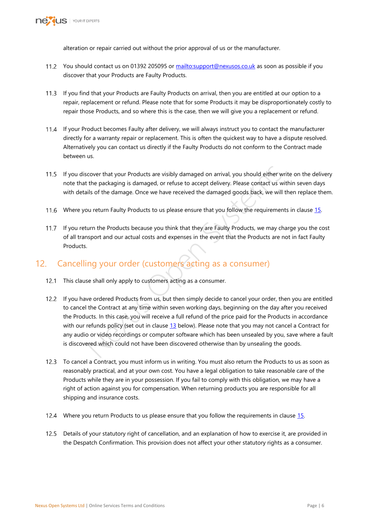

alteration or repair carried out without the prior approval of us or the manufacturer.

- You should contact us on 01392 205095 or<mailto:support@nexusos.co.uk> as soon as possible if you discover that your Products are Faulty Products.
- If you find that your Products are Faulty Products on arrival, then you are entitled at our option to a repair, replacement or refund. Please note that for some Products it may be disproportionately costly to repair those Products, and so where this is the case, then we will give you a replacement or refund.
- 11.4 If your Product becomes Faulty after delivery, we will always instruct you to contact the manufacturer directly for a warranty repair or replacement. This is often the quickest way to have a dispute resolved. Alternatively you can contact us directly if the Faulty Products do not conform to the Contract made between us.
- If you discover that your Products are visibly damaged on arrival, you should either write on the delivery note that the packaging is damaged, or refuse to accept delivery. Please contact us within seven days with details of the damage. Once we have received the damaged goods back, we will then replace them.
- 11.6 Where you return Faulty Products to us please ensure that you follow the requirements in clause [15.](#page-6-2)
- 11.7 If you return the Products because you think that they are Faulty Products, we may charge you the cost of all transport and our actual costs and expenses in the event that the Products are not in fact Faulty Products.

# <span id="page-5-0"></span>12. Cancelling your order (customers acting as a consumer)

- <span id="page-5-1"></span>12.1 This clause shall only apply to customers acting as a consumer.
- is cover that your Products are visibly damaged on arrival, you should either written packaging is damaged, or refuse to accept delivery. Please contact us wit<br>iils of the damage. Once we have received the damaged goods ba 12.2 If you have ordered Products from us, but then simply decide to cancel your order, then you are entitled to cancel the Contract at any time within seven working days, beginning on the day after you received the Products. In this case, you will receive a full refund of the price paid for the Products in accordance with our refunds policy (set out in clause 13 below). Please note that you may not cancel a Contract for any audio or video recordings or computer software which has been unsealed by you, save where a fault is discovered which could not have been discovered otherwise than by unsealing the goods.
- 12.3 To cancel a Contract, you must inform us in writing. You must also return the Products to us as soon as reasonably practical, and at your own cost. You have a legal obligation to take reasonable care of the Products while they are in your possession. If you fail to comply with this obligation, we may have a right of action against you for compensation. When returning products you are responsible for all shipping and insurance costs.
- Where you return Products to us please ensure that you follow the requirements in clause [15.](#page-6-2)
- 12.5 Details of your statutory right of cancellation, and an explanation of how to exercise it, are provided in the Despatch Confirmation. This provision does not affect your other statutory rights as a consumer.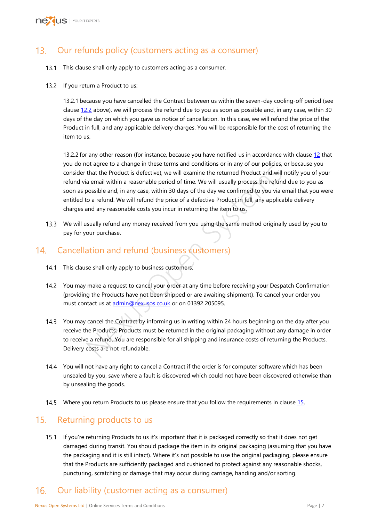

#### <span id="page-6-0"></span>Our refunds policy (customers acting as a consumer)  $13.$

- 13.1 This clause shall only apply to customers acting as a consumer.
- 13.2 If you return a Product to us:

13.2.1 because you have cancelled the Contract between us within the seven-day cooling-off period (see clause [12.2](#page-5-1) above), we will process the refund due to you as soon as possible and, in any case, within 30 days of the day on which you gave us notice of cancellation. In this case, we will refund the price of the Product in full, and any applicable delivery charges. You will be responsible for the cost of returning the item to us.

that the Product is defective), we will examine the returned Product and will n<br>a email within a reasonable period of time. We will usually process the refund<br>a amail within a reasonable period of time. We will usually pro 13.2.2 for any other reason (for instance, because you have notified us in accordance with clause [12](#page-5-0) that you do not agree to a change in these terms and conditions or in any of our policies, or because you consider that the Product is defective), we will examine the returned Product and will notify you of your refund via email within a reasonable period of time. We will usually process the refund due to you as soon as possible and, in any case, within 30 days of the day we confirmed to you via email that you were entitled to a refund. We will refund the price of a defective Product in full, any applicable delivery charges and any reasonable costs you incur in returning the item to us.

13.3 We will usually refund any money received from you using the same method originally used by you to pay for your purchase.

# <span id="page-6-1"></span>14. Cancellation and refund (business customers)

- 14.1 This clause shall only apply to business customers.
- 14.2 You may make a request to cancel your order at any time before receiving your Despatch Confirmation (providing the Products have not been shipped or are awaiting shipment). To cancel your order you must contact us at admin@nexusos.co.uk or on 01392 205095.
- 14.3 You may cancel the Contract by informing us in writing within 24 hours beginning on the day after you receive the Products. Products must be returned in the original packaging without any damage in order to receive a refund. You are responsible for all shipping and insurance costs of returning the Products. Delivery costs are not refundable.
- 14.4 You will not have any right to cancel a Contract if the order is for computer software which has been unsealed by you, save where a fault is discovered which could not have been discovered otherwise than by unsealing the goods.
- 14.5 Where you return Products to us please ensure that you follow the requirements in clause [15.](#page-6-2)

### <span id="page-6-2"></span>15. Returning products to us

If you're returning Products to us it's important that it is packaged correctly so that it does not get damaged during transit. You should package the item in its original packaging (assuming that you have the packaging and it is still intact). Where it's not possible to use the original packaging, please ensure that the Products are sufficiently packaged and cushioned to protect against any reasonable shocks, puncturing, scratching or damage that may occur during carriage, handing and/or sorting.

### <span id="page-6-3"></span> $16.$ Our liability (customer acting as a consumer)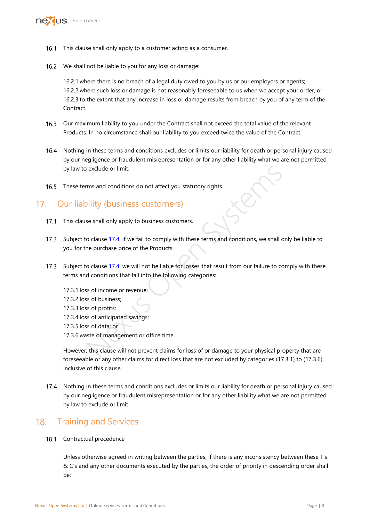

- 16.1 This clause shall only apply to a customer acting as a consumer.
- 16.2 We shall not be liable to you for any loss or damage:

16.2.1 where there is no breach of a legal duty owed to you by us or our employers or agents; 16.2.2 where such loss or damage is not reasonably foreseeable to us when we accept your order, or 16.2.3 to the extent that any increase in loss or damage results from breach by you of any term of the Contract.

- <span id="page-7-3"></span>Our maximum liability to you under the Contract shall not exceed the total value of the relevant Products. In no circumstance shall our liability to you exceed twice the value of the Contract.
- 16.4 Nothing in these terms and conditions excludes or limits our liability for death or personal injury caused by our negligence or fraudulent misrepresentation or for any other liability what we are not permitted by law to exclude or limit.
- 16.5 These terms and conditions do not affect you statutory rights.

### <span id="page-7-0"></span>17. Our liability (business customers)

- 17.1 This clause shall only apply to business customers.
- <span id="page-7-4"></span>17.2 Subject to clause 17.4, if we fail to comply with these terms and conditions, we shall only be liable to you for the purchase price of the Products.
- 17.3 Subject to clause 17.4, we will not be liable for losses that result from our failure to comply with these terms and conditions that fall into the following categories:
- exclude or limit.<br>
In and conditions do not affect you statutory rights.<br>
Sility (business Customers)<br>
Se shall only apply to business customers.<br>
Colause 17.4, if we fail to comply with these terms and conditions, we shal 17.3.1 loss of income or revenue; 17.3.2 loss of business; 17.3.3 loss of profits; 17.3.4 loss of anticipated savings; 17.3.5 loss of data; or 17.3.6 waste of management or office time.

However, this clause will not prevent claims for loss of or damage to your physical property that are foreseeable or any other claims for direct loss that are not excluded by categories (17.3.1) to (17.3.6) inclusive of this clause.

<span id="page-7-2"></span>17.4 Nothing in these terms and conditions excludes or limits our liability for death or personal injury caused by our negligence or fraudulent misrepresentation or for any other liability what we are not permitted by law to exclude or limit.

#### <span id="page-7-1"></span> $18.$ Training and Services

### <span id="page-7-5"></span>18.1 Contractual precedence

Unless otherwise agreed in writing between the parties, if there is any inconsistency between these T's & C's and any other documents executed by the parties, the order of priority in descending order shall be: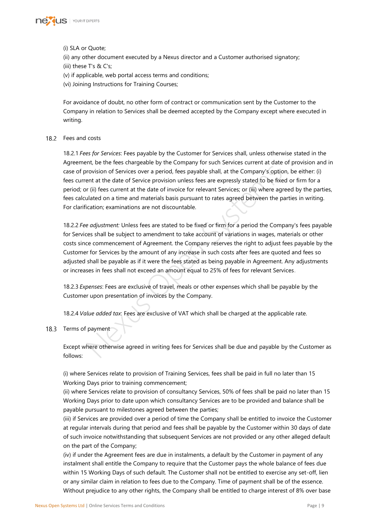

### (i) SLA or Quote;

(ii) any other document executed by a Nexus director and a Customer authorised signatory; (iii) these T's & C's;

(v) if applicable, web portal access terms and conditions;

(vi) Joining Instructions for Training Courses;

For avoidance of doubt, no other form of contract or communication sent by the Customer to the Company in relation to Services shall be deemed accepted by the Company except where executed in writing.

### 18.2 Fees and costs

18.2.1 *Fees for Services*: Fees payable by the Customer for Services shall, unless otherwise stated in the Agreement, be the fees chargeable by the Company for such Services current at date of provision and in case of provision of Services over a period, fees payable shall, at the Company's option, be either: (i) fees current at the date of Service provision unless fees are expressly stated to be fixed or firm for a period; or (ii) fees current at the date of invoice for relevant Services; or (iii) where agreed by the parties, fees calculated on a time and materials basis pursuant to rates agreed between the parties in writing. For clarification; examinations are not discountable.

rovision of Services over a period, fees payable shall, at the Company's option<br>ent at the date of Service provision unless fees are expressly stated to be fixed<br>r(ii) fees current at the date of invoice for relevant Servi 18.2.2 *Fee adjustment:* Unless fees are stated to be fixed or firm for a period the Company's fees payable for Services shall be subject to amendment to take account of variations in wages, materials or other costs since commencement of Agreement. the Company reserves the right to adjust fees payable by the Customer for Services by the amount of any increase in such costs after fees are quoted and fees so adjusted shall be payable as if it were the fees stated as being payable in Agreement. Any adjustments or increases in fees shall not exceed an amount equal to 25% of fees for relevant Services.

18.2.3 *Expenses*: Fees are exclusive of travel, meals or other expenses which shall be payable by the Customer upon presentation of invoices by the Company.

18.2.4 *Value added tax*: Fees are exclusive of VAT which shall be charged at the applicable rate.

### <span id="page-8-0"></span>18.3 Terms of payment

Except where otherwise agreed in writing fees for Services shall be due and payable by the Customer as follows:

(i) where Services relate to provision of Training Services, fees shall be paid in full no later than 15 Working Days prior to training commencement;

(ii) where Services relate to provision of consultancy Services, 50% of fees shall be paid no later than 15 Working Days prior to date upon which consultancy Services are to be provided and balance shall be payable pursuant to milestones agreed between the parties;

(iii) if Services are provided over a period of time the Company shall be entitled to invoice the Customer at regular intervals during that period and fees shall be payable by the Customer within 30 days of date of such invoice notwithstanding that subsequent Services are not provided or any other alleged default on the part of the Company;

(iv) if under the Agreement fees are due in instalments, a default by the Customer in payment of any instalment shall entitle the Company to require that the Customer pays the whole balance of fees due within 15 Working Days of such default. The Customer shall not be entitled to exercise any set-off, lien or any similar claim in relation to fees due to the Company. Time of payment shall be of the essence. Without prejudice to any other rights, the Company shall be entitled to charge interest of 8% over base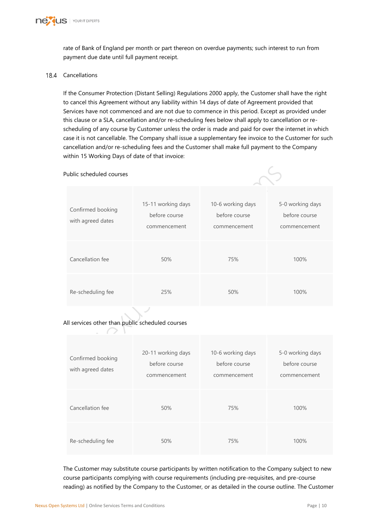

rate of Bank of England per month or part thereon on overdue payments; such interest to run from payment due date until full payment receipt.

### 18.4 Cancellations

If the Consumer Protection (Distant Selling) Regulations 2000 apply, the Customer shall have the right to cancel this Agreement without any liability within 14 days of date of Agreement provided that Services have not commenced and are not due to commence in this period. Except as provided under this clause or a SLA, cancellation and/or re-scheduling fees below shall apply to cancellation or rescheduling of any course by Customer unless the order is made and paid for over the internet in which case it is not cancellable. The Company shall issue a supplementary fee invoice to the Customer for such cancellation and/or re-scheduling fees and the Customer shall make full payment to the Company within 15 Working Days of date of that invoice:

### Public scheduled courses



| Public scheduled courses                         |                                                     |                                                    |                                                   |  |  |  |
|--------------------------------------------------|-----------------------------------------------------|----------------------------------------------------|---------------------------------------------------|--|--|--|
| Confirmed booking<br>with agreed dates           | 15-11 working days<br>before course<br>commencement | 10-6 working days<br>before course<br>commencement | 5-0 working days<br>before course<br>commencement |  |  |  |
| Cancellation fee                                 | 50%                                                 | 75%                                                | 100%                                              |  |  |  |
| Re-scheduling fee                                | 25%                                                 | 50%                                                | 100%                                              |  |  |  |
| All services other than public scheduled courses |                                                     |                                                    |                                                   |  |  |  |
| Canfirmand hooling                               | 20-11 working days                                  | 10-6 working days                                  | 5-0 working days                                  |  |  |  |

### All services other than public scheduled courses

| Confirmed booking<br>with agreed dates | 20-11 working days<br>before course<br>commencement | 10-6 working days<br>before course<br>commencement | 5-0 working days<br>before course<br>commencement |
|----------------------------------------|-----------------------------------------------------|----------------------------------------------------|---------------------------------------------------|
| Cancellation fee                       | 50%                                                 | 75%                                                | 100%                                              |
| Re-scheduling fee                      | 50%                                                 | 75%                                                | 100%                                              |

The Customer may substitute course participants by written notification to the Company subject to new course participants complying with course requirements (including pre-requisites, and pre-course reading) as notified by the Company to the Customer, or as detailed in the course outline. The Customer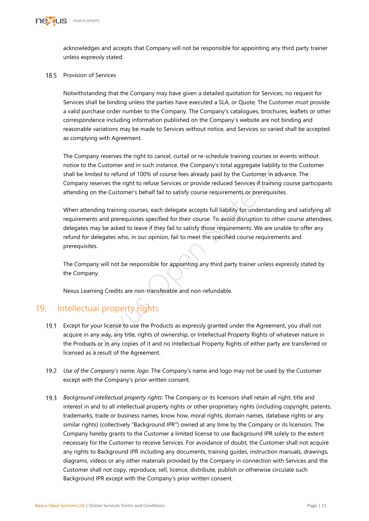

acknowledges and accepts that Company will not be responsible for appointing any third party trainer unless expressly stated.

### 18.5 Provision of Services

Notwithstanding that the Company may have given a detailed quotation for Services, no request for Services shall be binding unless the parties have executed a SLA, or Quote. The Customer must provide a valid purchase order number to the Company. The Company's catalogues, brochures, leaflets or other correspondence including information published on the Company's website are not binding and reasonable variations may be made to Services without notice, and Services so varied shall be accepted as complying with Agreement.

The Company reserves the right to cancel, curtail or re-schedule training courses or events without notice to the Customer and in such instance, the Company's total aggregate liability to the Customer shall be limited to refund of 100% of course fees already paid by the Customer in advance. The Company reserves the right to refuse Services or provide reduced Services if training course participants attending on the Customer's behalf fail to satisfy course requirements or prerequisites.

The cussioner and in such instance, the Company's othat aggregate nation<br>initied to refund of 100% of course fees already paid by the Customer in adva<br>y reserves the right to refuse Services or provide reduced Services if When attending training courses, each delegate accepts full liability for understanding and satisfying all requirements and prerequisites specified for their course. To avoid disruption to other course attendees, delegates may be asked to leave if they fail to satisfy those requirements. We are unable to offer any refund for delegates who, in our opinion, fail to meet the specified course requirements and prerequisites.

The Company will not be responsible for appointing any third party trainer unless expressly stated by the Company.

Nexus Learning Credits are non-transferable and non-refundable.

# <span id="page-10-0"></span>19. Intellectual property rights

- 19.1 Except for your license to use the Products as expressly granted under the Agreement, you shall not acquire in any way, any title, rights of ownership, or Intellectual Property Rights of whatever nature in the Products or in any copies of it and no Intellectual Property Rights of either party are transferred or licensed as a result of the Agreement.
- *Use of the Company's name, logo*: The Company's name and logo may not be used by the Customer except with the Company's prior written consent.
- *Background intellectual property rights*: The Company or its licensors shall retain all right, title and interest in and to all intellectual property rights or other proprietary rights (including copyright, patents, trademarks, trade or business names, know how, moral rights, domain names, database rights or any similar rights) (collectively "Background IPR") owned at any time by the Company or its licensors. The Company hereby grants to the Customer a limited license to use Background IPR solely to the extent necessary for the Customer to receive Services. For avoidance of doubt, the Customer shall not acquire any rights to Background IPR including any documents, training guides, instruction manuals, drawings, diagrams, videos or any other materials provided by the Company in connection with Services and the Customer shall not copy, reproduce, sell, licence, distribute, publish or otherwise circulate such Background IPR except with the Company's prior written consent.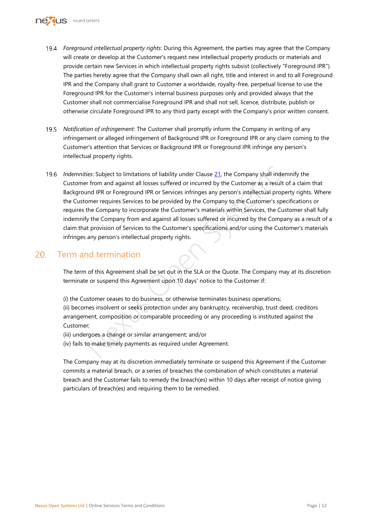

- *Foreground intellectual property rights*: During this Agreement, the parties may agree that the Company will create or develop at the Customer's request new intellectual property products or materials and provide certain new Services in which intellectual property rights subsist (collectively "Foreground IPR"). The parties hereby agree that the Company shall own all right, title and interest in and to all Foreground IPR and the Company shall grant to Customer a worldwide, royalty-free, perpetual license to use the Foreground IPR for the Customer's internal business purposes only and provided always that the Customer shall not commercialise Foreground IPR and shall not sell, licence, distribute, publish or otherwise circulate Foreground IPR to any third party except with the Company's prior written consent.
- *Notification of infringement*: The Customer shall promptly inform the Company in writing of any infringement or alleged infringement of Background IPR or Foreground IPR or any claim coming to the Customer's attention that Services or Background IPR or Foreground IPR infringe any person's intellectual property rights.
- ies: Subject to limitations of liability under Clause <u>21</u>, the Company shall inden<br>
r from and against all losses suffered or incurred by the Customer as a result<br>
and IPR or Foreground IPR or Services infringes any perso *Indemnities*: Subject to limitations of liability under Clause 21, the Company shall indemnify the Customer from and against all losses suffered or incurred by the Customer as a result of a claim that Background IPR or Foreground IPR or Services infringes any person's intellectual property rights. Where the Customer requires Services to be provided by the Company to the Customer's specifications or requires the Company to incorporate the Customer's materials within Services, the Customer shall fully indemnify the Company from and against all losses suffered or incurred by the Company as a result of a claim that provision of Services to the Customer's specifications and/or using the Customer's materials infringes any person's intellectual property rights.

#### <span id="page-11-0"></span> $20<sup>1</sup>$ Term and termination

The term of this Agreement shall be set out in the SLA or the Quote. The Company may at its discretion terminate or suspend this Agreement upon 10 days' notice to the Customer if:

(i) the Customer ceases to do business, or otherwise terminates business operations; (ii) becomes insolvent or seeks protection under any bankruptcy, receivership, trust deed, creditors arrangement, composition or comparable proceeding or any proceeding is instituted against the

Customer;

(iii) undergoes a change or similar arrangement; and/or

(iv) fails to make timely payments as required under Agreement.

The Company may at its discretion immediately terminate or suspend this Agreement if the Customer commits a material breach, or a series of breaches the combination of which constitutes a material breach and the Customer fails to remedy the breach(es) within 10 days after receipt of notice giving particulars of breach(es) and requiring them to be remedied.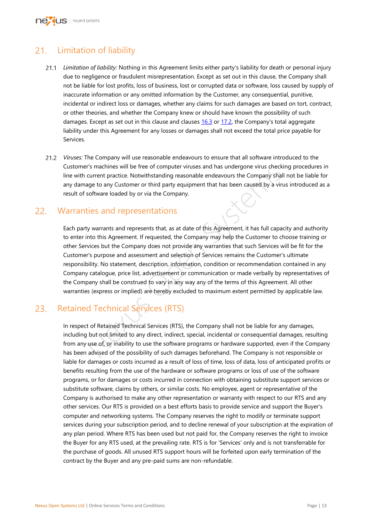### <span id="page-12-0"></span>Limitation of liability  $21.$

- *Limitation of liability:* Nothing in this Agreement limits either party's liability for death or personal injury due to negligence or fraudulent misrepresentation. Except as set out in this clause, the Company shall not be liable for lost profits, loss of business, lost or corrupted data or software, loss caused by supply of inaccurate information or any omitted information by the Customer, any consequential, punitive, incidental or indirect loss or damages, whether any claims for such damages are based on tort, contract, or other theories, and whether the Company knew or should have known the possibility of such damages. Except as set out in this clause and clauses [16.3](#page-7-3) or [17.2,](#page-7-4) the Company's total aggregate liability under this Agreement for any losses or damages shall not exceed the total price payable for Services.
- *Viruses:* The Company will use reasonable endeavours to ensure that all software introduced to the Customer's machines will be free of computer viruses and has undergone virus checking procedures in line with current practice. Notwithstanding reasonable endeavours the Company shall not be liable for any damage to any Customer or third party equipment that has been caused by a virus introduced as a result of software loaded by or via the Company.

### <span id="page-12-1"></span>Warranties and representations

r's machines will be free of computer viruses and has undergone virus checking<br>current practice. Notwithstanding reasonable endeavours the Company shall<br>age to any Customer or third party equipment that has been caused by Each party warrants and represents that, as at date of this Agreement, it has full capacity and authority to enter into this Agreement. If requested, the Company may help the Customer to choose training or other Services but the Company does not provide any warranties that such Services will be fit for the Customer's purpose and assessment and selection of Services remains the Customer's ultimate responsibility. No statement, description, information, condition or recommendation contained in any Company catalogue, price list, advertisement or communication or made verbally by representatives of the Company shall be construed to vary in any way any of the terms of this Agreement. All other warranties (express or implied) are hereby excluded to maximum extent permitted by applicable law.

#### <span id="page-12-2"></span>Retained Technical Services (RTS) 23.

In respect of Retained Technical Services (RTS), the Company shall not be liable for any damages, including but not limited to any direct, indirect, special, incidental or consequential damages, resulting from any use of, or inability to use the software programs or hardware supported, even if the Company has been advised of the possibility of such damages beforehand. The Company is not responsible or liable for damages or costs incurred as a result of loss of time, loss of data, loss of anticipated profits or benefits resulting from the use of the hardware or software programs or loss of use of the software programs, or for damages or costs incurred in connection with obtaining substitute support services or substitute software, claims by others, or similar costs. No employee, agent or representative of the Company is authorised to make any other representation or warranty with respect to our RTS and any other services. Our RTS is provided on a best efforts basis to provide service and support the Buyer's computer and networking systems. The Company reserves the right to modify or terminate support services during your subscription period, and to decline renewal of your subscription at the expiration of any plan period. Where RTS has been used but not paid for, the Company reserves the right to invoice the Buyer for any RTS used, at the prevailing rate. RTS is for 'Services' only and is not transferrable for the purchase of goods. All unused RTS support hours will be forfeited upon early termination of the contract by the Buyer and any pre-paid sums are non-refundable.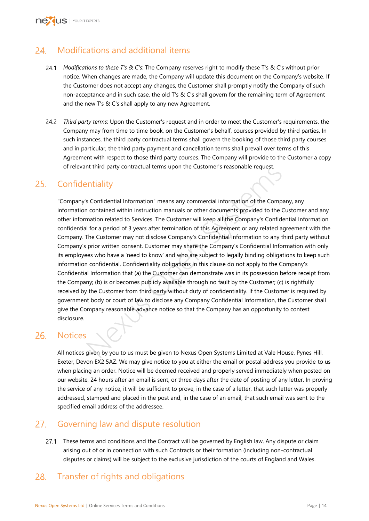

#### <span id="page-13-0"></span>Modifications and additional items  $24$

- *Modifications to these T's & C's*: The Company reserves right to modify these T's & C's without prior notice. When changes are made, the Company will update this document on the Company's website. If the Customer does not accept any changes, the Customer shall promptly notify the Company of such non-acceptance and in such case, the old T's & C's shall govern for the remaining term of Agreement and the new T's & C's shall apply to any new Agreement.
- *Third party terms*: Upon the Customer's request and in order to meet the Customer's requirements, the Company may from time to time book, on the Customer's behalf, courses provided by third parties. In such instances, the third party contractual terms shall govern the booking of those third party courses and in particular, the third party payment and cancellation terms shall prevail over terms of this Agreement with respect to those third party courses. The Company will provide to the Customer a copy of relevant third party contractual terms upon the Customer's reasonable request.

#### <span id="page-13-1"></span> $25.$ **Confidentiality**

nt third party contractual terms upon the Customer's reasonable request.<br> **Pintiality**<br>
S Confidential Information" means any commercial information of the Compar<br>
contained within instruction manuals or other documents pr "Company's Confidential Information" means any commercial information of the Company, any information contained within instruction manuals or other documents provided to the Customer and any other information related to Services. The Customer will keep all the Company's Confidential Information confidential for a period of 3 years after termination of this Agreement or any related agreement with the Company. The Customer may not disclose Company's Confidential Information to any third party without Company's prior written consent. Customer may share the Company's Confidential Information with only its employees who have a 'need to know' and who are subject to legally binding obligations to keep such information confidential. Confidentiality obligations in this clause do not apply to the Company's Confidential Information that (a) the Customer can demonstrate was in its possession before receipt from the Company; (b) is or becomes publicly available through no fault by the Customer; (c) is rightfully received by the Customer from third party without duty of confidentiality. If the Customer is required by government body or court of law to disclose any Company Confidential Information, the Customer shall give the Company reasonable advance notice so that the Company has an opportunity to contest disclosure.

#### <span id="page-13-2"></span>26. **Notices**

All notices given by you to us must be given to Nexus Open Systems Limited at Vale House, Pynes Hill, Exeter, Devon EX2 5AZ. We may give notice to you at either the email or postal address you provide to us when placing an order. Notice will be deemed received and properly served immediately when posted on our website, 24 hours after an email is sent, or three days after the date of posting of any letter. In proving the service of any notice, it will be sufficient to prove, in the case of a letter, that such letter was properly addressed, stamped and placed in the post and, in the case of an email, that such email was sent to the specified email address of the addressee.

# <span id="page-13-3"></span>27. Governing law and dispute resolution

27.1 These terms and conditions and the Contract will be governed by English law. Any dispute or claim arising out of or in connection with such Contracts or their formation (including non-contractual disputes or claims) will be subject to the exclusive jurisdiction of the courts of England and Wales.

#### <span id="page-13-4"></span>28. Transfer of rights and obligations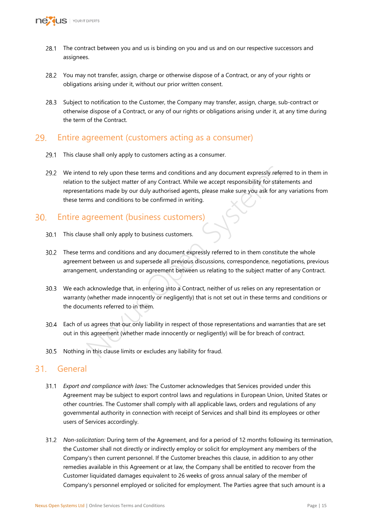

- 28.1 The contract between you and us is binding on you and us and on our respective successors and assignees.
- 28.2 You may not transfer, assign, charge or otherwise dispose of a Contract, or any of your rights or obligations arising under it, without our prior written consent.
- 28.3 Subject to notification to the Customer, the Company may transfer, assign, charge, sub-contract or otherwise dispose of a Contract, or any of our rights or obligations arising under it, at any time during the term of the Contract.

### <span id="page-14-0"></span>29. Entire agreement (customers acting as a consumer)

- 29.1 This clause shall only apply to customers acting as a consumer.
- of the subject matter of any document expressly referred to the subject matter of any Contract. While we accept responsibility for state rations made by our duly authorised agents, please make sure you ask for any ms and c 29.2 We intend to rely upon these terms and conditions and any document expressly referred to in them in relation to the subject matter of any Contract. While we accept responsibility for statements and representations made by our duly authorised agents, please make sure you ask for any variations from these terms and conditions to be confirmed in writing.

### <span id="page-14-1"></span>Entire agreement (business customers)

- 30.1 This clause shall only apply to business customers.
- These terms and conditions and any document expressly referred to in them constitute the whole agreement between us and supersede all previous discussions, correspondence, negotiations, previous arrangement, understanding or agreement between us relating to the subject matter of any Contract.
- We each acknowledge that, in entering into a Contract, neither of us relies on any representation or warranty (whether made innocently or negligently) that is not set out in these terms and conditions or the documents referred to in them.
- Each of us agrees that our only liability in respect of those representations and warranties that are set out in this agreement (whether made innocently or negligently) will be for breach of contract.
- 30.5 Nothing in this clause limits or excludes any liability for fraud.

# <span id="page-14-2"></span>31. General

- <span id="page-14-3"></span>*Export and compliance with laws:* The Customer acknowledges that Services provided under this Agreement may be subject to export control laws and regulations in European Union, United States or other countries. The Customer shall comply with all applicable laws, orders and regulations of any governmental authority in connection with receipt of Services and shall bind its employees or other users of Services accordingly.
- <span id="page-14-4"></span>*Non-solicitation:* During term of the Agreement, and for a period of 12 months following its termination, the Customer shall not directly or indirectly employ or solicit for employment any members of the Company's then current personnel. If the Customer breaches this clause, in addition to any other remedies available in this Agreement or at law, the Company shall be entitled to recover from the Customer liquidated damages equivalent to 26 weeks of gross annual salary of the member of Company's personnel employed or solicited for employment. The Parties agree that such amount is a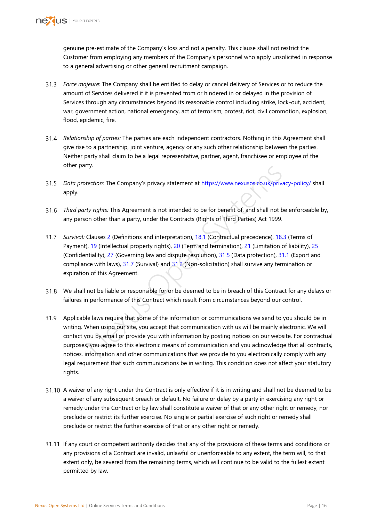

genuine pre-estimate of the Company's loss and not a penalty. This clause shall not restrict the Customer from employing any members of the Company's personnel who apply unsolicited in response to a general advertising or other general recruitment campaign.

- *Force majeure:* The Company shall be entitled to delay or cancel delivery of Services or to reduce the amount of Services delivered if it is prevented from or hindered in or delayed in the provision of Services through any circumstances beyond its reasonable control including strike, lock-out, accident, war, government action, national emergency, act of terrorism, protest, riot, civil commotion, explosion, flood, epidemic, fire.
- *Relationship of parties:* The parties are each independent contractors. Nothing in this Agreement shall give rise to a partnership, joint venture, agency or any such other relationship between the parties. Neither party shall claim to be a legal representative, partner, agent, franchisee or employee of the other party.
- <span id="page-15-0"></span>*Data protection:* The Company's privacy statement at https://www.nexusos.co.uk/privacy-policy/ shall apply.
- *Third party rights:* This Agreement is not intended to be for benefit of, and shall not be enforceable by, any person other than a party, under the Contracts (Rights of Third Parties) Act 1999.
- <span id="page-15-1"></span>*Survival:* Clauses 2 (Definitions and interpretation), 18.1 (Contractual precedence), 18.3 (Terms of Payment), 19 (Intellectual property rights), 20 (Term and termination), 21 (Limitation of liability), [25](#page-13-1) (Confidentiality), 27 (Governing law and dispute resolution), 31.5 (Data protection), [31.1](#page-14-3) (Export and compliance with laws), 31.7 (Survival) and 31.2 (Non-solicitation) shall survive any termination or expiration of this Agreement.
- 31.8 We shall not be liable or responsible for or be deemed to be in breach of this Contract for any delays or failures in performance of this Contract which result from circumstances beyond our control.
- tectio[n](#page-7-5): The Company's privacy statement at <u>https://www.nexusos.co.uk/privacty rights:</u> This Agreement is not intended to be for benefit of, and shall not be on other than a party, under the Contracts (Rights of Third Par Applicable laws require that some of the information or communications we send to you should be in writing. When using our site, you accept that communication with us will be mainly electronic. We will contact you by email or provide you with information by posting notices on our website. For contractual purposes, you agree to this electronic means of communication and you acknowledge that all contracts, notices, information and other communications that we provide to you electronically comply with any legal requirement that such communications be in writing. This condition does not affect your statutory rights.
- 31.10 A waiver of any right under the Contract is only effective if it is in writing and shall not be deemed to be a waiver of any subsequent breach or default. No failure or delay by a party in exercising any right or remedy under the Contract or by law shall constitute a waiver of that or any other right or remedy, nor preclude or restrict its further exercise. No single or partial exercise of such right or remedy shall preclude or restrict the further exercise of that or any other right or remedy.
- If any court or competent authority decides that any of the provisions of these terms and conditions or any provisions of a Contract are invalid, unlawful or unenforceable to any extent, the term will, to that extent only, be severed from the remaining terms, which will continue to be valid to the fullest extent permitted by law.